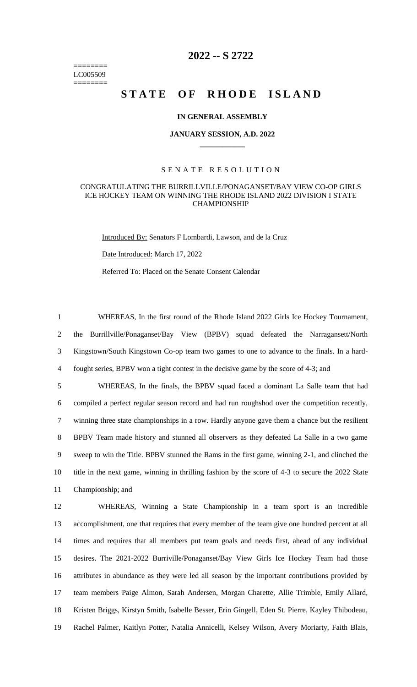======== LC005509 ========

## **2022 -- S 2722**

# STATE OF RHODE ISLAND

#### **IN GENERAL ASSEMBLY**

#### **JANUARY SESSION, A.D. 2022 \_\_\_\_\_\_\_\_\_\_\_\_**

### S E N A T E R E S O L U T I O N

#### CONGRATULATING THE BURRILLVILLE/PONAGANSET/BAY VIEW CO-OP GIRLS ICE HOCKEY TEAM ON WINNING THE RHODE ISLAND 2022 DIVISION I STATE CHAMPIONSHIP

Introduced By: Senators F Lombardi, Lawson, and de la Cruz

Date Introduced: March 17, 2022

Referred To: Placed on the Senate Consent Calendar

 WHEREAS, In the first round of the Rhode Island 2022 Girls Ice Hockey Tournament, the Burrillville/Ponaganset/Bay View (BPBV) squad defeated the Narragansett/North Kingstown/South Kingstown Co-op team two games to one to advance to the finals. In a hard-fought series, BPBV won a tight contest in the decisive game by the score of 4-3; and

 WHEREAS, In the finals, the BPBV squad faced a dominant La Salle team that had compiled a perfect regular season record and had run roughshod over the competition recently, winning three state championships in a row. Hardly anyone gave them a chance but the resilient BPBV Team made history and stunned all observers as they defeated La Salle in a two game sweep to win the Title. BPBV stunned the Rams in the first game, winning 2-1, and clinched the title in the next game, winning in thrilling fashion by the score of 4-3 to secure the 2022 State Championship; and

 WHEREAS, Winning a State Championship in a team sport is an incredible accomplishment, one that requires that every member of the team give one hundred percent at all times and requires that all members put team goals and needs first, ahead of any individual desires. The 2021-2022 Burriville/Ponaganset/Bay View Girls Ice Hockey Team had those attributes in abundance as they were led all season by the important contributions provided by team members Paige Almon, Sarah Andersen, Morgan Charette, Allie Trimble, Emily Allard, Kristen Briggs, Kirstyn Smith, Isabelle Besser, Erin Gingell, Eden St. Pierre, Kayley Thibodeau, Rachel Palmer, Kaitlyn Potter, Natalia Annicelli, Kelsey Wilson, Avery Moriarty, Faith Blais,